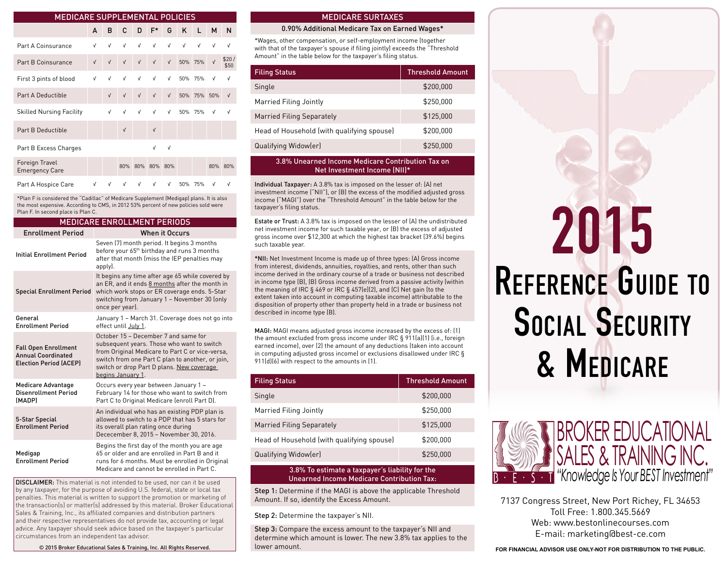| <b>MEDICARE SUPPLEMENTAL POLICIES</b>   |            |            |            |            |                 |            |             |            |            |               |
|-----------------------------------------|------------|------------|------------|------------|-----------------|------------|-------------|------------|------------|---------------|
|                                         | A          | в          | C          | D          | $F^*$           | G          | K           | L.         | M          | N             |
| Part A Coinsurance                      | V          | V          | V          | $\sqrt{ }$ | $\sqrt{ }$      | V          | V           | $\sqrt{ }$ | $\sqrt{ }$ | V             |
| Part B Coinsurance                      | $\sqrt{ }$ | $\sqrt{ }$ | $\sqrt{ }$ | $\sqrt{ }$ | $\sqrt{ }$      | $\sqrt{ }$ | 50% 75%     |            | $\sqrt{ }$ | \$20/<br>\$50 |
| First 3 pints of blood                  | V          | V          | V          | V          | $\sqrt{ }$      | V          |             | 50% 75%    | V          | V             |
| Part A Deductible                       |            | $\sqrt{ }$ | $\sqrt{ }$ | $\sqrt{ }$ | $\sqrt{ }$      | $\sqrt{ }$ | 50% 75% 50% |            |            | $\sqrt{ }$    |
| <b>Skilled Nursing Facility</b>         |            | V          | V          | $\sqrt{ }$ | V               | V          |             | 50% 75%    | V          | V             |
| Part B Deductible                       |            |            | $\sqrt{ }$ |            | $\sqrt{ }$      |            |             |            |            |               |
| Part B Excess Charges                   |            |            |            |            | $\sqrt{ }$      | $\sqrt{ }$ |             |            |            |               |
| Foreign Travel<br><b>Emergency Care</b> |            |            |            |            | 80% 80% 80% 80% |            |             |            |            | 80% 80%       |
| Part A Hospice Care                     | <b>V</b>   | $\sqrt{ }$ | <b>V</b>   | $\sqrt{ }$ | $\sqrt{ }$      | $\sqrt{ }$ |             | 50% 75%    | V          | V             |

\*Plan F is considered the "Cadillac" of Medicare Supplement (Medigap) plans. It is also the most expensive. According to CMS, in 2012 53% percent of new policies sold were Plan F. In second place is Plan C.

| <b>MEDICARE ENROLLMENT PERIODS</b>                                                        |                                                                                                                                                                                                                                                             |  |  |  |
|-------------------------------------------------------------------------------------------|-------------------------------------------------------------------------------------------------------------------------------------------------------------------------------------------------------------------------------------------------------------|--|--|--|
| <b>Enrollment Period</b>                                                                  | <b>When it Occurs</b>                                                                                                                                                                                                                                       |  |  |  |
| <b>Initial Enrollment Period</b>                                                          | Seven (7) month period. It begins 3 months<br>before your 65 <sup>th</sup> birthday and runs 3 months<br>after that month (miss the IEP penalties may<br>apply).                                                                                            |  |  |  |
| <b>Special Enrollment Period</b>                                                          | It begins any time after age 65 while covered by<br>an ER, and it ends 8 months after the month in<br>which work stops or ER coverage ends. 5-Star<br>switching from January 1 - November 30 (only<br>once per year).                                       |  |  |  |
| General<br><b>Enrollment Period</b>                                                       | January 1 - March 31. Coverage does not go into<br>effect until July 1.                                                                                                                                                                                     |  |  |  |
| <b>Fall Open Enrollment</b><br><b>Annual Coordinated</b><br><b>Election Period (ACEP)</b> | October 15 - December 7 and same for<br>subsequent years. Those who want to switch<br>from Original Medicare to Part C or vice-versa,<br>switch from one Part C plan to another, or join,<br>switch or drop Part D plans. New coverage<br>begins January 1. |  |  |  |
| <b>Medicare Advantage</b><br><b>Disenrollment Period</b><br>(MADP)                        | Occurs every year between January 1 -<br>February 14 for those who want to switch from<br>Part C to Original Medicare (enroll Part D).                                                                                                                      |  |  |  |
| 5-Star Special<br><b>Enrollment Period</b>                                                | An individual who has an existing PDP plan is<br>allowed to switch to a PDP that has 5 stars for<br>its overall plan rating once during<br>Dececember 8, 2015 - November 30, 2016.                                                                          |  |  |  |
| Medigap<br><b>Enrollment Period</b>                                                       | Begins the first day of the month you are age<br>65 or older and are enrolled in Part B and it<br>runs for 6 months. Must be enrolled in Original<br>Medicare and cannot be enrolled in Part C.                                                             |  |  |  |

DISCLAIMER: This material is not intended to be used, nor can it be used by any taxpayer, for the purpose of avoiding U.S. federal, state or local tax penalties. This material is written to support the promotion or marketing of the transaction(s) or matter(s) addressed by this material. Broker Educational Sales & Training, Inc., its affiliated companies and distribution partners and their respective representatives do not provide tax, accounting or legal advice. Any taxpayer should seek advice based on the taxpayer's particular circumstances from an independent tax advisor.

© 2015 Broker Educational Sales & Training, Inc. All Rights Reserved.

#### MEDICARE SURTAXES

#### 0.90% Additional Medicare Tax on Earned Wages\*

\*Wages, other compensation, or self-employment income (together with that of the taxpayer's spouse if filing jointly) exceeds the "Threshold Amount" in the table below for the taxpayer's filing status.

| <b>Filing Status</b>                       | <b>Threshold Amount</b> |
|--------------------------------------------|-------------------------|
| Single                                     | \$200,000               |
| Married Filing Jointly                     | \$250,000               |
| Married Filing Separately                  | \$125,000               |
| Head of Household (with qualifying spouse) | \$200.000               |
| Qualifying Widow(er)                       | \$250.000               |

#### 3.8% Unearned Income Medicare Contribution Tax on Net Investment Income (NII)\*

Individual Taxpayer: A 3.8% tax is imposed on the lesser of: (A) net investment income ("NII"), or (B) the excess of the modified adjusted gross income ("MAGI") over the "Threshold Amount" in the table below for the taxpayer's filing status.

Estate or Trust: A 3.8% tax is imposed on the lesser of (A) the undistributed net investment income for such taxable year, or (B) the excess of adjusted gross income over \$12,300 at which the highest tax bracket (39.6%) begins such taxable year.

\*NII: Net Investment Income is made up of three types: (A) Gross income from interest, dividends, annuities, royalties, and rents, other than such income derived in the ordinary course of a trade or business not described in income type (B), (B) Gross income derived from a passive activity (within the meaning of IRC § 469 or IRC § 457(e)(2), and (C) Net gain (to the extent taken into account in computing taxable income) attributable to the disposition of property other than property held in a trade or business not described in income type (B).

MAGI: MAGI means adjusted gross income increased by the excess of: (1) the amount excluded from gross income under IRC § 911(a)(1) (i.e., foreign earned income), over (2) the amount of any deductions (taken into account in computing adjusted gross income) or exclusions disallowed under IRC § 911(d)(6) with respect to the amounts in (1).

| <b>Filing Status</b>                       | <b>Threshold Amount</b> |
|--------------------------------------------|-------------------------|
| Single                                     | \$200,000               |
| Married Filing Jointly                     | \$250.000               |
| Married Filing Separately                  | \$125,000               |
| Head of Household (with qualifying spouse) | \$200.000               |
| Qualifying Widow(er)                       | \$250,000               |

#### 3.8% To estimate a taxpayer's liability for the Unearned Income Medicare Contribution Tax:

Step 1: Determine if the MAGI is above the applicable Threshold Amount. If so, identify the Excess Amount.

Step 2: Determine the taxpayer's NII.

Step 3: Compare the excess amount to the taxpayer's NII and determine which amount is lower. The new 3.8% tax applies to the lower amount.

# Reference Guide to 2015 SOCIAL SECURITY & Medicare



7137 Congress Street, New Port Richey, FL 34653 Toll Free: 1.800.345.5669 Web: www.bestonlinecourses.com E-mail: marketing@best-ce.com